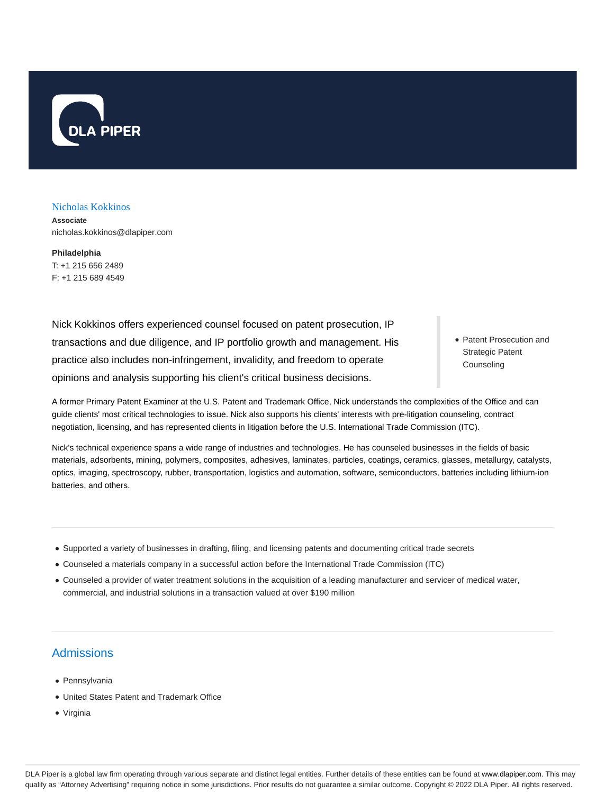

## Nicholas Kokkinos

**Associate** nicholas.kokkinos@dlapiper.com

**Philadelphia** T: +1 215 656 2489 F: +1 215 689 4549

Nick Kokkinos offers experienced counsel focused on patent prosecution, IP transactions and due diligence, and IP portfolio growth and management. His practice also includes non-infringement, invalidity, and freedom to operate opinions and analysis supporting his client's critical business decisions.

Patent Prosecution and Strategic Patent **Counseling** 

A former Primary Patent Examiner at the U.S. Patent and Trademark Office, Nick understands the complexities of the Office and can guide clients' most critical technologies to issue. Nick also supports his clients' interests with pre-litigation counseling, contract negotiation, licensing, and has represented clients in litigation before the U.S. International Trade Commission (ITC).

Nick's technical experience spans a wide range of industries and technologies. He has counseled businesses in the fields of basic materials, adsorbents, mining, polymers, composites, adhesives, laminates, particles, coatings, ceramics, glasses, metallurgy, catalysts, optics, imaging, spectroscopy, rubber, transportation, logistics and automation, software, semiconductors, batteries including lithium-ion batteries, and others.

- Supported a variety of businesses in drafting, filing, and licensing patents and documenting critical trade secrets
- Counseled a materials company in a successful action before the International Trade Commission (ITC)
- Counseled a provider of water treatment solutions in the acquisition of a leading manufacturer and servicer of medical water, commercial, and industrial solutions in a transaction valued at over \$190 million

## Admissions

- Pennsylvania
- United States Patent and Trademark Office
- Virginia

DLA Piper is a global law firm operating through various separate and distinct legal entities. Further details of these entities can be found at www.dlapiper.com. This may qualify as "Attorney Advertising" requiring notice in some jurisdictions. Prior results do not guarantee a similar outcome. Copyright @ 2022 DLA Piper. All rights reserved.